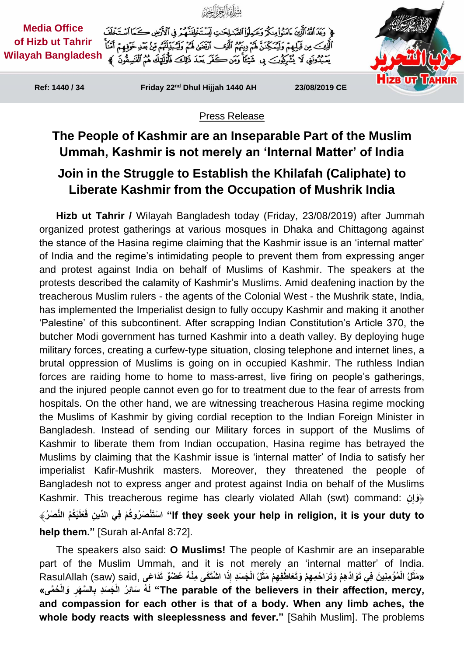

Press Release

## **The People of Kashmir are an Inseparable Part of the Muslim Ummah, Kashmir is not merely an 'Internal Matter' of India Join in the Struggle to Establish the Khilafah (Caliphate) to Liberate Kashmir from the Occupation of Mushrik India**

**Hizb ut Tahrir /** Wilayah Bangladesh today (Friday, 23/08/2019) after Jummah organized protest gatherings at various mosques in Dhaka and Chittagong against the stance of the Hasina regime claiming that the Kashmir issue is an 'internal matter' of India and the regime's intimidating people to prevent them from expressing anger and protest against India on behalf of Muslims of Kashmir. The speakers at the protests described the calamity of Kashmir's Muslims. Amid deafening inaction by the treacherous Muslim rulers - the agents of the Colonial West - the Mushrik state, India, has implemented the Imperialist design to fully occupy Kashmir and making it another 'Palestine' of this subcontinent. After scrapping Indian Constitution's Article 370, the butcher Modi government has turned Kashmir into a death valley. By deploying huge military forces, creating a curfew-type situation, closing telephone and internet lines, a brutal oppression of Muslims is going on in occupied Kashmir. The ruthless Indian forces are raiding home to home to mass-arrest, live firing on people's gatherings, and the injured people cannot even go for to treatment due to the fear of arrests from hospitals. On the other hand, we are witnessing treacherous Hasina regime mocking the Muslims of Kashmir by giving cordial reception to the Indian Foreign Minister in Bangladesh. Instead of sending our Military forces in support of the Muslims of Kashmir to liberate them from Indian occupation, Hasina regime has betrayed the Muslims by claiming that the Kashmir issue is 'internal matter' of India to satisfy her imperialist Kafir-Mushrik masters. Moreover, they threatened the people of Bangladesh not to express anger and protest against India on behalf of the Muslims Kashmir. This treacherous regime has clearly violated Allah (swt) command: **نِ ِ** ﴿**َوإ** lf they seek your help in religion, it is your duty to'' اسْتَنْصَرُوكُمْ فِي الدِّينِ فَعَلَيْكُمُ النَّصْرُ﴾ **help them."** [Surah al-Anfal 8:72].

The speakers also said: **O Muslims!** The people of Kashmir are an inseparable part of the Muslim Ummah, and it is not merely an 'internal matter' of India. «مَثَلُ الْمُؤْمِنِينَ فِي تَوَادِّهِمْ وَتَرَاحُمِهِمْ وَتَعَاطُفِهِمْ مَثَلُ الْجَسَدِ إِذَا اشْتَكَى مِنْهُ عُضْوٌ تَدَاعَى ,RasulAllah (saw) said **َ ِ ِ** .The parable of the believers in their affection, mercy" لَهُ سَائِرُ الْجَسَدِ بِالسَّهَرِ وَالْحُمَّى» **and compassion for each other is that of a body. When any limb aches, the whole body reacts with sleeplessness and fever."** [Sahih Muslim]. The problems